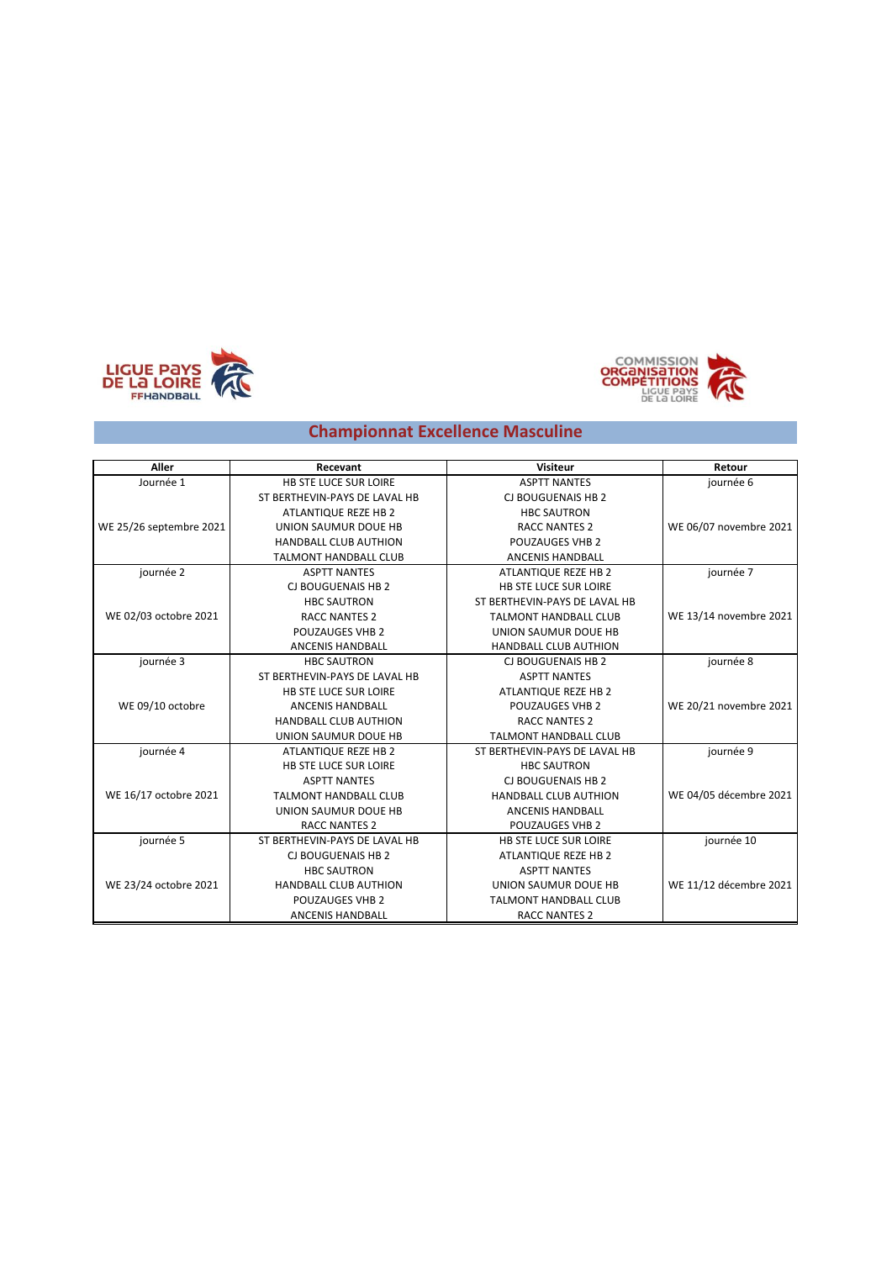





## **Championnat Excellence Masculine**

| <b>Aller</b>            | Recevant                      | <b>Visiteur</b>               | Retour                 |
|-------------------------|-------------------------------|-------------------------------|------------------------|
| Journée 1               | <b>HB STE LUCE SUR LOIRE</b>  | <b>ASPTT NANTES</b>           | journée 6              |
|                         | ST BERTHEVIN-PAYS DE LAVAL HB | CJ BOUGUENAIS HB 2            |                        |
|                         | ATLANTIQUE REZE HB 2          | <b>HBC SAUTRON</b>            |                        |
| WE 25/26 septembre 2021 | UNION SAUMUR DOUE HB          | <b>RACC NANTES 2</b>          | WE 06/07 novembre 2021 |
|                         | <b>HANDBALL CLUB AUTHION</b>  | <b>POUZAUGES VHB 2</b>        |                        |
|                         | <b>TALMONT HANDBALL CLUB</b>  | ANCENIS HANDBALL              |                        |
| journée 2               | <b>ASPTT NANTES</b>           | ATLANTIQUE REZE HB 2          | journée 7              |
|                         | CJ BOUGUENAIS HB 2            | HB STE LUCE SUR LOIRE         |                        |
|                         | <b>HBC SAUTRON</b>            | ST BERTHEVIN-PAYS DE LAVAL HB |                        |
| WE 02/03 octobre 2021   | <b>RACC NANTES 2</b>          | <b>TALMONT HANDBALL CLUB</b>  | WE 13/14 novembre 2021 |
|                         | <b>POUZAUGES VHB 2</b>        | UNION SAUMUR DOUE HB          |                        |
|                         | <b>ANCENIS HANDBALL</b>       | <b>HANDBALL CLUB AUTHION</b>  |                        |
| journée 3               | <b>HBC SAUTRON</b>            | CJ BOUGUENAIS HB 2            | journée 8              |
|                         | ST BERTHEVIN-PAYS DE LAVAL HB | <b>ASPTT NANTES</b>           |                        |
|                         | <b>HB STE LUCE SUR LOIRE</b>  | ATLANTIQUE REZE HB 2          |                        |
| WE 09/10 octobre        | <b>ANCENIS HANDBALL</b>       | <b>POUZAUGES VHB 2</b>        | WE 20/21 novembre 2021 |
|                         | <b>HANDBALL CLUB AUTHION</b>  | <b>RACC NANTES 2</b>          |                        |
|                         | UNION SAUMUR DOUE HB          | <b>TALMONT HANDBALL CLUB</b>  |                        |
| journée 4               | ATLANTIQUE REZE HB 2          | ST BERTHEVIN-PAYS DE LAVAL HB | journée 9              |
|                         | <b>HB STE LUCE SUR LOIRE</b>  | <b>HBC SAUTRON</b>            |                        |
|                         | <b>ASPTT NANTES</b>           | CJ BOUGUENAIS HB 2            |                        |
| WE 16/17 octobre 2021   | <b>TALMONT HANDBALL CLUB</b>  | <b>HANDBALL CLUB AUTHION</b>  | WE 04/05 décembre 2021 |
|                         | UNION SAUMUR DOUE HB          | <b>ANCENIS HANDBALL</b>       |                        |
|                         | <b>RACC NANTES 2</b>          | <b>POUZAUGES VHB 2</b>        |                        |
| journée 5               | ST BERTHEVIN-PAYS DE LAVAL HB | <b>HB STE LUCE SUR LOIRE</b>  | journée 10             |
|                         | CJ BOUGUENAIS HB 2            | ATLANTIQUE REZE HB 2          |                        |
|                         | <b>HBC SAUTRON</b>            | <b>ASPTT NANTES</b>           |                        |
| WE 23/24 octobre 2021   | <b>HANDBALL CLUB AUTHION</b>  | UNION SAUMUR DOUE HB          | WE 11/12 décembre 2021 |
|                         | POUZAUGES VHB 2               | <b>TALMONT HANDBALL CLUB</b>  |                        |
|                         | <b>ANCENIS HANDBALL</b>       | <b>RACC NANTES 2</b>          |                        |